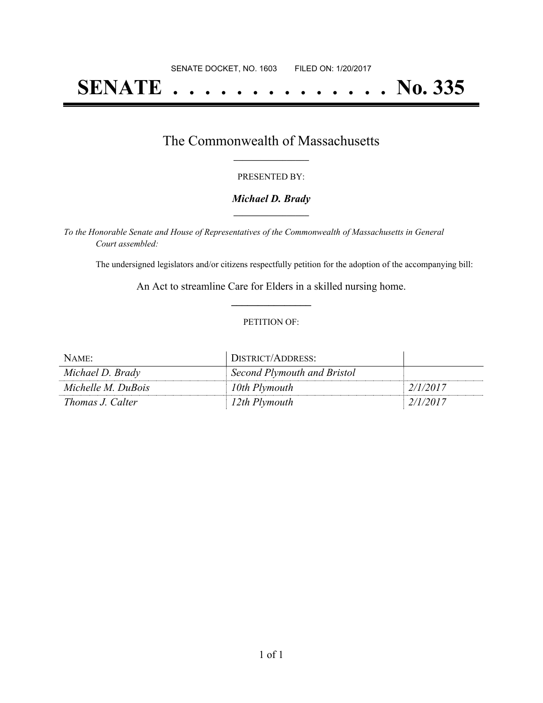# **SENATE . . . . . . . . . . . . . . No. 335**

### The Commonwealth of Massachusetts **\_\_\_\_\_\_\_\_\_\_\_\_\_\_\_\_\_**

#### PRESENTED BY:

#### *Michael D. Brady* **\_\_\_\_\_\_\_\_\_\_\_\_\_\_\_\_\_**

*To the Honorable Senate and House of Representatives of the Commonwealth of Massachusetts in General Court assembled:*

The undersigned legislators and/or citizens respectfully petition for the adoption of the accompanying bill:

An Act to streamline Care for Elders in a skilled nursing home. **\_\_\_\_\_\_\_\_\_\_\_\_\_\_\_**

#### PETITION OF:

| NAME:                   | DISTRICT/ADDRESS:           |          |
|-------------------------|-----------------------------|----------|
| Michael D. Brady        | Second Plymouth and Bristol |          |
| Michelle M. DuBois      | 10th Plymouth               | 2/1/2017 |
| <i>Thomas J. Calter</i> | 12th Plymouth               | 2/1/2017 |